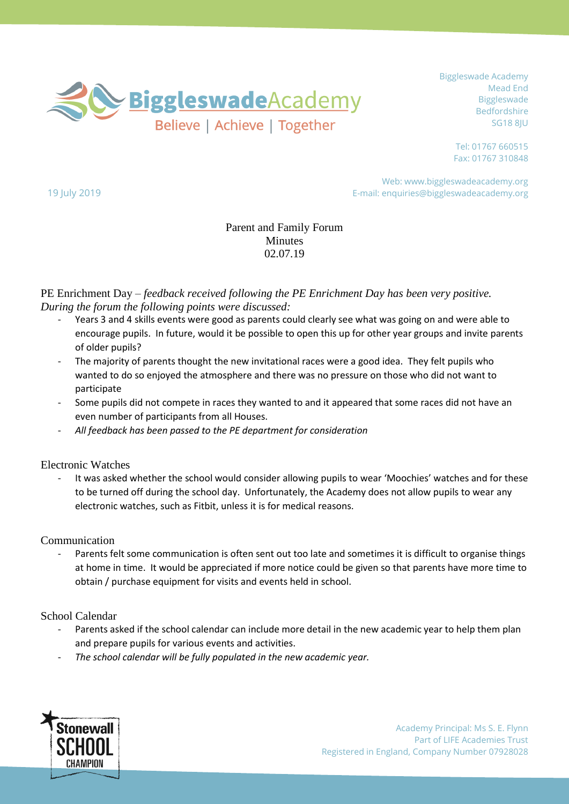

Tel: 01767 660515 Fax: 01767 310848

Web: www.biggleswadeacademy.org E-mail: enquiries@biggleswadeacademy.org

# Parent and Family Forum **Minutes** 02.07.19

PE Enrichment Day – *feedback received following the PE Enrichment Day has been very positive. During the forum the following points were discussed:*

- Years 3 and 4 skills events were good as parents could clearly see what was going on and were able to encourage pupils. In future, would it be possible to open this up for other year groups and invite parents of older pupils?
- The majority of parents thought the new invitational races were a good idea. They felt pupils who wanted to do so enjoyed the atmosphere and there was no pressure on those who did not want to participate
- Some pupils did not compete in races they wanted to and it appeared that some races did not have an even number of participants from all Houses.
- *All feedback has been passed to the PE department for consideration*

### Electronic Watches

19 July 2019

It was asked whether the school would consider allowing pupils to wear 'Moochies' watches and for these to be turned off during the school day. Unfortunately, the Academy does not allow pupils to wear any electronic watches, such as Fitbit, unless it is for medical reasons.

### Communication

Parents felt some communication is often sent out too late and sometimes it is difficult to organise things at home in time. It would be appreciated if more notice could be given so that parents have more time to obtain / purchase equipment for visits and events held in school.

# School Calendar

- Parents asked if the school calendar can include more detail in the new academic year to help them plan and prepare pupils for various events and activities.
- *The school calendar will be fully populated in the new academic year.*